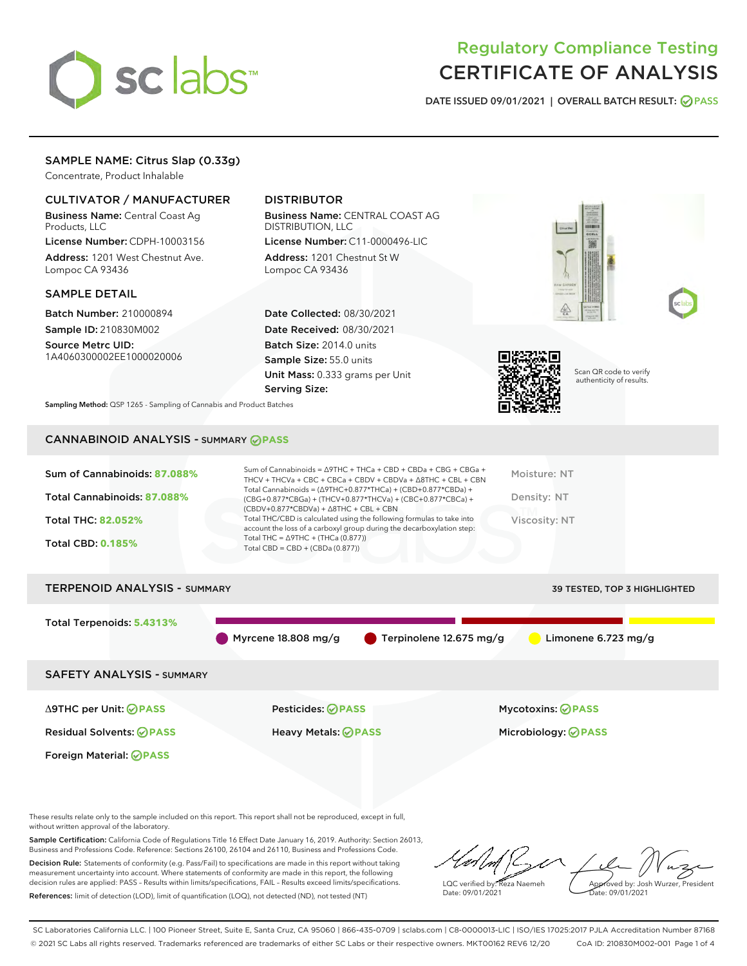

## Regulatory Compliance Testing CERTIFICATE OF ANALYSIS

DATE ISSUED 09/01/2021 | OVERALL BATCH RESULT: @ PASS

### SAMPLE NAME: Citrus Slap (0.33g)

Concentrate, Product Inhalable

#### CULTIVATOR / MANUFACTURER

Business Name: Central Coast Ag Products, LLC

License Number: CDPH-10003156 Address: 1201 West Chestnut Ave. Lompoc CA 93436

#### SAMPLE DETAIL

Batch Number: 210000894 Sample ID: 210830M002

Source Metrc UID: 1A4060300002EE1000020006

## DISTRIBUTOR

Business Name: CENTRAL COAST AG DISTRIBUTION, LLC License Number: C11-0000496-LIC

Address: 1201 Chestnut St W Lompoc CA 93436

Date Collected: 08/30/2021 Date Received: 08/30/2021 Batch Size: 2014.0 units Sample Size: 55.0 units Unit Mass: 0.333 grams per Unit Serving Size:







Scan QR code to verify authenticity of results.

Sampling Method: QSP 1265 - Sampling of Cannabis and Product Batches

## CANNABINOID ANALYSIS - SUMMARY **PASS**

| Sum of Cannabinoids: 87.088% | Sum of Cannabinoids = $\triangle$ 9THC + THCa + CBD + CBDa + CBG + CBGa +<br>THCV + THCVa + CBC + CBCa + CBDV + CBDVa + $\Delta$ 8THC + CBL + CBN                                    | Moisture: NT  |
|------------------------------|--------------------------------------------------------------------------------------------------------------------------------------------------------------------------------------|---------------|
| Total Cannabinoids: 87.088%  | Total Cannabinoids = $(\Delta$ 9THC+0.877*THCa) + (CBD+0.877*CBDa) +<br>(CBG+0.877*CBGa) + (THCV+0.877*THCVa) + (CBC+0.877*CBCa) +<br>$(CBDV+0.877*CBDVa) + \Delta 8THC + CBL + CBN$ | Density: NT   |
| <b>Total THC: 82.052%</b>    | Total THC/CBD is calculated using the following formulas to take into<br>account the loss of a carboxyl group during the decarboxylation step:                                       | Viscosity: NT |
| <b>Total CBD: 0.185%</b>     | Total THC = $\triangle$ 9THC + (THCa (0.877))<br>Total CBD = $CBD + (CBDa (0.877))$                                                                                                  |               |
|                              |                                                                                                                                                                                      |               |

# TERPENOID ANALYSIS - SUMMARY 39 TESTED, TOP 3 HIGHLIGHTED Total Terpenoids: **5.4313%** Myrcene 18.808 mg/g  $\bullet$  Terpinolene 12.675 mg/g  $\bullet$  Limonene 6.723 mg/g SAFETY ANALYSIS - SUMMARY

Foreign Material: **PASS**

Δ9THC per Unit: **PASS** Pesticides: **PASS** Mycotoxins: **PASS**

Residual Solvents: **PASS** Heavy Metals: **PASS** Microbiology: **PASS**

These results relate only to the sample included on this report. This report shall not be reproduced, except in full, without written approval of the laboratory.

Sample Certification: California Code of Regulations Title 16 Effect Date January 16, 2019. Authority: Section 26013, Business and Professions Code. Reference: Sections 26100, 26104 and 26110, Business and Professions Code. Decision Rule: Statements of conformity (e.g. Pass/Fail) to specifications are made in this report without taking

measurement uncertainty into account. Where statements of conformity are made in this report, the following decision rules are applied: PASS – Results within limits/specifications, FAIL – Results exceed limits/specifications. References: limit of detection (LOD), limit of quantification (LOQ), not detected (ND), not tested (NT)

LQC verified by: Reza Naemeh Date: 09/01/2021 Approved by: Josh Wurzer, President Date: 09/01/2021

SC Laboratories California LLC. | 100 Pioneer Street, Suite E, Santa Cruz, CA 95060 | 866-435-0709 | sclabs.com | C8-0000013-LIC | ISO/IES 17025:2017 PJLA Accreditation Number 87168 © 2021 SC Labs all rights reserved. Trademarks referenced are trademarks of either SC Labs or their respective owners. MKT00162 REV6 12/20 CoA ID: 210830M002-001 Page 1 of 4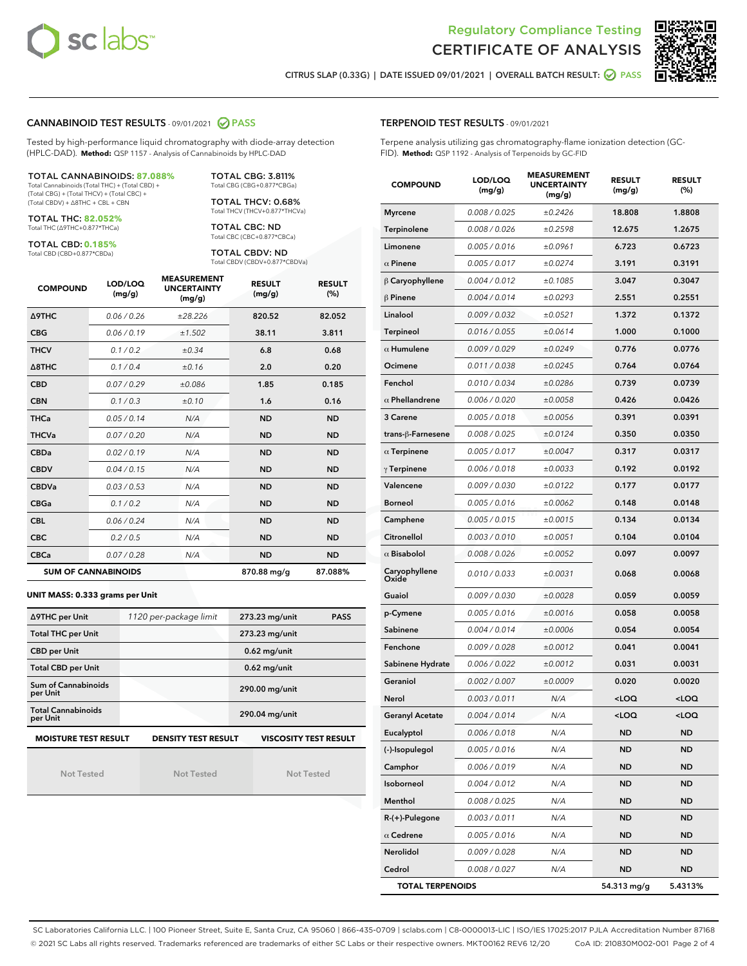



CITRUS SLAP (0.33G) | DATE ISSUED 09/01/2021 | OVERALL BATCH RESULT: @ PASS

#### CANNABINOID TEST RESULTS - 09/01/2021 2 PASS

Tested by high-performance liquid chromatography with diode-array detection (HPLC-DAD). **Method:** QSP 1157 - Analysis of Cannabinoids by HPLC-DAD

#### TOTAL CANNABINOIDS: **87.088%**

Total Cannabinoids (Total THC) + (Total CBD) + (Total CBG) + (Total THCV) + (Total CBC) + (Total CBDV) + ∆8THC + CBL + CBN

TOTAL THC: **82.052%** Total THC (∆9THC+0.877\*THCa)

TOTAL CBD: **0.185%**

Total CBD (CBD+0.877\*CBDa)

TOTAL CBG: 3.811% Total CBG (CBG+0.877\*CBGa)

TOTAL THCV: 0.68% Total THCV (THCV+0.877\*THCVa)

TOTAL CBC: ND Total CBC (CBC+0.877\*CBCa)

TOTAL CBDV: ND Total CBDV (CBDV+0.877\*CBDVa)

| <b>COMPOUND</b>  | LOD/LOQ<br>(mg/g)          | <b>MEASUREMENT</b><br><b>UNCERTAINTY</b><br>(mg/g) | <b>RESULT</b><br>(mg/g) | <b>RESULT</b><br>(%) |
|------------------|----------------------------|----------------------------------------------------|-------------------------|----------------------|
| <b>A9THC</b>     | 0.06 / 0.26                | ±28.226                                            | 820.52                  | 82.052               |
| <b>CBG</b>       | 0.06/0.19                  | ±1.502                                             | 38.11                   | 3.811                |
| <b>THCV</b>      | 0.1/0.2                    | $\pm 0.34$                                         | 6.8                     | 0.68                 |
| $\triangle$ 8THC | 0.1/0.4                    | ±0.16                                              | 2.0                     | 0.20                 |
| <b>CBD</b>       | 0.07/0.29                  | ±0.086                                             | 1.85                    | 0.185                |
| <b>CBN</b>       | 0.1/0.3                    | ±0.10                                              | 1.6                     | 0.16                 |
| <b>THCa</b>      | 0.05/0.14                  | N/A                                                | <b>ND</b>               | <b>ND</b>            |
| <b>THCVa</b>     | 0.07/0.20                  | N/A                                                | <b>ND</b>               | <b>ND</b>            |
| <b>CBDa</b>      | 0.02/0.19                  | N/A                                                | <b>ND</b>               | <b>ND</b>            |
| <b>CBDV</b>      | 0.04/0.15                  | N/A                                                | <b>ND</b>               | <b>ND</b>            |
| <b>CBDVa</b>     | 0.03/0.53                  | N/A                                                | <b>ND</b>               | <b>ND</b>            |
| <b>CBGa</b>      | 0.1 / 0.2                  | N/A                                                | <b>ND</b>               | <b>ND</b>            |
| <b>CBL</b>       | 0.06 / 0.24                | N/A                                                | <b>ND</b>               | <b>ND</b>            |
| <b>CBC</b>       | 0.2 / 0.5                  | N/A                                                | <b>ND</b>               | <b>ND</b>            |
| <b>CBCa</b>      | 0.07/0.28                  | N/A                                                | <b>ND</b>               | <b>ND</b>            |
|                  | <b>SUM OF CANNABINOIDS</b> |                                                    | 870.88 mg/g             | 87.088%              |

#### **UNIT MASS: 0.333 grams per Unit**

| ∆9THC per Unit                        | 1120 per-package limit     | 273.23 mg/unit<br><b>PASS</b> |
|---------------------------------------|----------------------------|-------------------------------|
| <b>Total THC per Unit</b>             |                            | 273.23 mg/unit                |
| <b>CBD per Unit</b>                   |                            | $0.62$ mg/unit                |
| <b>Total CBD per Unit</b>             |                            | $0.62$ mg/unit                |
| Sum of Cannabinoids<br>per Unit       |                            | 290.00 mg/unit                |
| <b>Total Cannabinoids</b><br>per Unit |                            | 290.04 mg/unit                |
| <b>MOISTURE TEST RESULT</b>           | <b>DENSITY TEST RESULT</b> | <b>VISCOSITY TEST RESULT</b>  |

Not Tested

Not Tested

Not Tested

#### TERPENOID TEST RESULTS - 09/01/2021

Terpene analysis utilizing gas chromatography-flame ionization detection (GC-FID). **Method:** QSP 1192 - Analysis of Terpenoids by GC-FID

| <b>COMPOUND</b>         | LOD/LOQ<br>(mg/g) | <b>MEASUREMENT</b><br><b>UNCERTAINTY</b><br>(mg/g) | <b>RESULT</b><br>(mg/g)                         | <b>RESULT</b><br>(%) |
|-------------------------|-------------------|----------------------------------------------------|-------------------------------------------------|----------------------|
| <b>Myrcene</b>          | 0.008 / 0.025     | ±0.2426                                            | 18.808                                          | 1.8808               |
| Terpinolene             | 0.008 / 0.026     | ±0.2598                                            | 12.675                                          | 1.2675               |
| Limonene                | 0.005 / 0.016     | ±0.0961                                            | 6.723                                           | 0.6723               |
| $\alpha$ Pinene         | 0.005 / 0.017     | ±0.0274                                            | 3.191                                           | 0.3191               |
| $\beta$ Caryophyllene   | 0.004 / 0.012     | ±0.1085                                            | 3.047                                           | 0.3047               |
| $\beta$ Pinene          | 0.004 / 0.014     | ±0.0293                                            | 2.551                                           | 0.2551               |
| Linalool                | 0.009 / 0.032     | ±0.0521                                            | 1.372                                           | 0.1372               |
| Terpineol               | 0.016 / 0.055     | ±0.0614                                            | 1.000                                           | 0.1000               |
| $\alpha$ Humulene       | 0.009 / 0.029     | ±0.0249                                            | 0.776                                           | 0.0776               |
| Ocimene                 | 0.011 / 0.038     | ±0.0245                                            | 0.764                                           | 0.0764               |
| Fenchol                 | 0.010 / 0.034     | ±0.0286                                            | 0.739                                           | 0.0739               |
| $\alpha$ Phellandrene   | 0.006 / 0.020     | ±0.0058                                            | 0.426                                           | 0.0426               |
| 3 Carene                | 0.005 / 0.018     | ±0.0056                                            | 0.391                                           | 0.0391               |
| trans-ß-Farnesene       | 0.008 / 0.025     | ±0.0124                                            | 0.350                                           | 0.0350               |
| $\alpha$ Terpinene      | 0.005 / 0.017     | ±0.0047                                            | 0.317                                           | 0.0317               |
| $\gamma$ Terpinene      | 0.006 / 0.018     | ±0.0033                                            | 0.192                                           | 0.0192               |
| Valencene               | 0.009 / 0.030     | ±0.0122                                            | 0.177                                           | 0.0177               |
| <b>Borneol</b>          | 0.005 / 0.016     | ±0.0062                                            | 0.148                                           | 0.0148               |
| Camphene                | 0.005 / 0.015     | ±0.0015                                            | 0.134                                           | 0.0134               |
| Citronellol             | 0.003 / 0.010     | ±0.0051                                            | 0.104                                           | 0.0104               |
| $\alpha$ Bisabolol      | 0.008 / 0.026     | ±0.0052                                            | 0.097                                           | 0.0097               |
| Caryophyllene<br>Oxide  | 0.010 / 0.033     | ±0.0031                                            | 0.068                                           | 0.0068               |
| Guaiol                  | 0.009 / 0.030     | ±0.0028                                            | 0.059                                           | 0.0059               |
| p-Cymene                | 0.005 / 0.016     | ±0.0016                                            | 0.058                                           | 0.0058               |
| Sabinene                | 0.004 / 0.014     | ±0.0006                                            | 0.054                                           | 0.0054               |
| Fenchone                | 0.009 / 0.028     | ±0.0012                                            | 0.041                                           | 0.0041               |
| Sabinene Hydrate        | 0.006 / 0.022     | ±0.0012                                            | 0.031                                           | 0.0031               |
| Geraniol                | 0.002 / 0.007     | ±0.0009                                            | 0.020                                           | 0.0020               |
| Nerol                   | 0.003 / 0.011     | N/A                                                | <loq< th=""><th><loq< th=""></loq<></th></loq<> | <loq< th=""></loq<>  |
| <b>Geranyl Acetate</b>  | 0.004 / 0.014     | N/A                                                | <loq< th=""><th><loq< th=""></loq<></th></loq<> | <loq< th=""></loq<>  |
| Eucalyptol              | 0.006 / 0.018     | N/A                                                | ND                                              | <b>ND</b>            |
| (-)-Isopulegol          | 0.005 / 0.016     | N/A                                                | ND                                              | ND                   |
| Camphor                 | 0.006 / 0.019     | N/A                                                | ND                                              | <b>ND</b>            |
| Isoborneol              | 0.004 / 0.012     | N/A                                                | <b>ND</b>                                       | <b>ND</b>            |
| Menthol                 | 0.008 / 0.025     | N/A                                                | ND                                              | ND                   |
| R-(+)-Pulegone          | 0.003 / 0.011     | N/A                                                | ND                                              | ND                   |
| $\alpha$ Cedrene        | 0.005 / 0.016     | N/A                                                | <b>ND</b>                                       | <b>ND</b>            |
| Nerolidol               | 0.009 / 0.028     | N/A                                                | ND                                              | ND                   |
| Cedrol                  | 0.008 / 0.027     | N/A                                                | <b>ND</b>                                       | <b>ND</b>            |
| <b>TOTAL TERPENOIDS</b> |                   |                                                    | 54.313 mg/g                                     | 5.4313%              |

SC Laboratories California LLC. | 100 Pioneer Street, Suite E, Santa Cruz, CA 95060 | 866-435-0709 | sclabs.com | C8-0000013-LIC | ISO/IES 17025:2017 PJLA Accreditation Number 87168 © 2021 SC Labs all rights reserved. Trademarks referenced are trademarks of either SC Labs or their respective owners. MKT00162 REV6 12/20 CoA ID: 210830M002-001 Page 2 of 4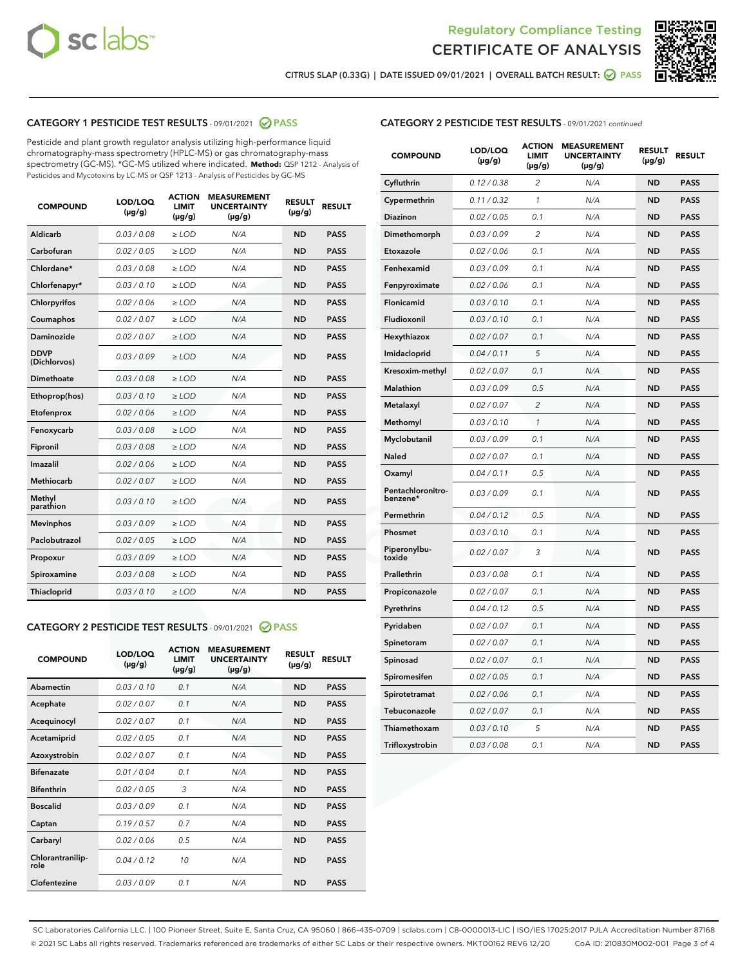



CITRUS SLAP (0.33G) | DATE ISSUED 09/01/2021 | OVERALL BATCH RESULT:  $\bigcirc$  PASS

## CATEGORY 1 PESTICIDE TEST RESULTS - 09/01/2021 2 PASS

Pesticide and plant growth regulator analysis utilizing high-performance liquid chromatography-mass spectrometry (HPLC-MS) or gas chromatography-mass spectrometry (GC-MS). \*GC-MS utilized where indicated. **Method:** QSP 1212 - Analysis of Pesticides and Mycotoxins by LC-MS or QSP 1213 - Analysis of Pesticides by GC-MS

| Aldicarb<br>0.03 / 0.08<br>$\ge$ LOD<br>N/A<br><b>ND</b><br><b>PASS</b><br>Carbofuran<br>0.02 / 0.05<br><b>ND</b><br><b>PASS</b><br>$\ge$ LOD<br>N/A<br>Chlordane*<br>0.03 / 0.08<br>$\ge$ LOD<br>N/A<br><b>ND</b><br><b>PASS</b><br>Chlorfenapyr*<br>0.03/0.10<br>N/A<br><b>ND</b><br><b>PASS</b><br>$\ge$ LOD<br>N/A<br><b>ND</b><br><b>PASS</b><br>Chlorpyrifos<br>0.02 / 0.06<br>$\ge$ LOD<br>0.02 / 0.07<br>Coumaphos<br>$>$ LOD<br>N/A<br><b>ND</b><br><b>PASS</b><br>Daminozide<br>0.02/0.07<br>N/A<br><b>ND</b><br>$>$ LOD<br><b>PASS</b><br><b>DDVP</b><br>0.03/0.09<br>$\ge$ LOD<br>N/A<br><b>ND</b><br><b>PASS</b><br>(Dichlorvos)<br>Dimethoate<br>0.03 / 0.08<br>$\ge$ LOD<br>N/A<br><b>ND</b><br><b>PASS</b><br>0.03/0.10<br><b>ND</b><br><b>PASS</b><br>$\ge$ LOD<br>N/A<br>Ethoprop(hos)<br>0.02 / 0.06<br>$\ge$ LOD<br>N/A<br><b>ND</b><br><b>PASS</b><br>Etofenprox<br>0.03 / 0.08<br>$\ge$ LOD<br>N/A<br><b>ND</b><br><b>PASS</b><br>Fenoxycarb<br>0.03 / 0.08<br>Fipronil<br>$\ge$ LOD<br>N/A<br><b>ND</b><br><b>PASS</b><br>Imazalil<br>0.02 / 0.06<br>$\ge$ LOD<br>N/A<br><b>ND</b><br><b>PASS</b><br>Methiocarb<br>0.02 / 0.07<br>N/A<br><b>ND</b><br>$>$ LOD<br><b>PASS</b><br>Methyl<br>N/A<br><b>ND</b><br>0.03/0.10<br>$\ge$ LOD<br><b>PASS</b><br>parathion<br>0.03/0.09<br>N/A<br><b>ND</b><br><b>PASS</b><br><b>Mevinphos</b><br>$\ge$ LOD<br>Paclobutrazol<br>0.02 / 0.05<br><b>ND</b><br><b>PASS</b><br>$\ge$ LOD<br>N/A<br>0.03/0.09<br>$\ge$ LOD<br>N/A<br><b>ND</b><br><b>PASS</b><br>Propoxur<br>0.03 / 0.08<br>$\ge$ LOD<br>N/A<br><b>ND</b><br><b>PASS</b><br>Spiroxamine<br>0.03/0.10<br>Thiacloprid<br>$\ge$ LOD<br>N/A<br><b>ND</b><br><b>PASS</b> | <b>COMPOUND</b> | LOD/LOQ<br>$(\mu g/g)$ | <b>ACTION</b><br><b>LIMIT</b><br>$(\mu g/g)$ | <b>MEASUREMENT</b><br><b>UNCERTAINTY</b><br>$(\mu g/g)$ | <b>RESULT</b><br>$(\mu g/g)$ | <b>RESULT</b> |
|---------------------------------------------------------------------------------------------------------------------------------------------------------------------------------------------------------------------------------------------------------------------------------------------------------------------------------------------------------------------------------------------------------------------------------------------------------------------------------------------------------------------------------------------------------------------------------------------------------------------------------------------------------------------------------------------------------------------------------------------------------------------------------------------------------------------------------------------------------------------------------------------------------------------------------------------------------------------------------------------------------------------------------------------------------------------------------------------------------------------------------------------------------------------------------------------------------------------------------------------------------------------------------------------------------------------------------------------------------------------------------------------------------------------------------------------------------------------------------------------------------------------------------------------------------------------------------------------------------------------------------------------------------------------------------------------|-----------------|------------------------|----------------------------------------------|---------------------------------------------------------|------------------------------|---------------|
|                                                                                                                                                                                                                                                                                                                                                                                                                                                                                                                                                                                                                                                                                                                                                                                                                                                                                                                                                                                                                                                                                                                                                                                                                                                                                                                                                                                                                                                                                                                                                                                                                                                                                             |                 |                        |                                              |                                                         |                              |               |
|                                                                                                                                                                                                                                                                                                                                                                                                                                                                                                                                                                                                                                                                                                                                                                                                                                                                                                                                                                                                                                                                                                                                                                                                                                                                                                                                                                                                                                                                                                                                                                                                                                                                                             |                 |                        |                                              |                                                         |                              |               |
|                                                                                                                                                                                                                                                                                                                                                                                                                                                                                                                                                                                                                                                                                                                                                                                                                                                                                                                                                                                                                                                                                                                                                                                                                                                                                                                                                                                                                                                                                                                                                                                                                                                                                             |                 |                        |                                              |                                                         |                              |               |
|                                                                                                                                                                                                                                                                                                                                                                                                                                                                                                                                                                                                                                                                                                                                                                                                                                                                                                                                                                                                                                                                                                                                                                                                                                                                                                                                                                                                                                                                                                                                                                                                                                                                                             |                 |                        |                                              |                                                         |                              |               |
|                                                                                                                                                                                                                                                                                                                                                                                                                                                                                                                                                                                                                                                                                                                                                                                                                                                                                                                                                                                                                                                                                                                                                                                                                                                                                                                                                                                                                                                                                                                                                                                                                                                                                             |                 |                        |                                              |                                                         |                              |               |
|                                                                                                                                                                                                                                                                                                                                                                                                                                                                                                                                                                                                                                                                                                                                                                                                                                                                                                                                                                                                                                                                                                                                                                                                                                                                                                                                                                                                                                                                                                                                                                                                                                                                                             |                 |                        |                                              |                                                         |                              |               |
|                                                                                                                                                                                                                                                                                                                                                                                                                                                                                                                                                                                                                                                                                                                                                                                                                                                                                                                                                                                                                                                                                                                                                                                                                                                                                                                                                                                                                                                                                                                                                                                                                                                                                             |                 |                        |                                              |                                                         |                              |               |
|                                                                                                                                                                                                                                                                                                                                                                                                                                                                                                                                                                                                                                                                                                                                                                                                                                                                                                                                                                                                                                                                                                                                                                                                                                                                                                                                                                                                                                                                                                                                                                                                                                                                                             |                 |                        |                                              |                                                         |                              |               |
|                                                                                                                                                                                                                                                                                                                                                                                                                                                                                                                                                                                                                                                                                                                                                                                                                                                                                                                                                                                                                                                                                                                                                                                                                                                                                                                                                                                                                                                                                                                                                                                                                                                                                             |                 |                        |                                              |                                                         |                              |               |
|                                                                                                                                                                                                                                                                                                                                                                                                                                                                                                                                                                                                                                                                                                                                                                                                                                                                                                                                                                                                                                                                                                                                                                                                                                                                                                                                                                                                                                                                                                                                                                                                                                                                                             |                 |                        |                                              |                                                         |                              |               |
|                                                                                                                                                                                                                                                                                                                                                                                                                                                                                                                                                                                                                                                                                                                                                                                                                                                                                                                                                                                                                                                                                                                                                                                                                                                                                                                                                                                                                                                                                                                                                                                                                                                                                             |                 |                        |                                              |                                                         |                              |               |
|                                                                                                                                                                                                                                                                                                                                                                                                                                                                                                                                                                                                                                                                                                                                                                                                                                                                                                                                                                                                                                                                                                                                                                                                                                                                                                                                                                                                                                                                                                                                                                                                                                                                                             |                 |                        |                                              |                                                         |                              |               |
|                                                                                                                                                                                                                                                                                                                                                                                                                                                                                                                                                                                                                                                                                                                                                                                                                                                                                                                                                                                                                                                                                                                                                                                                                                                                                                                                                                                                                                                                                                                                                                                                                                                                                             |                 |                        |                                              |                                                         |                              |               |
|                                                                                                                                                                                                                                                                                                                                                                                                                                                                                                                                                                                                                                                                                                                                                                                                                                                                                                                                                                                                                                                                                                                                                                                                                                                                                                                                                                                                                                                                                                                                                                                                                                                                                             |                 |                        |                                              |                                                         |                              |               |
|                                                                                                                                                                                                                                                                                                                                                                                                                                                                                                                                                                                                                                                                                                                                                                                                                                                                                                                                                                                                                                                                                                                                                                                                                                                                                                                                                                                                                                                                                                                                                                                                                                                                                             |                 |                        |                                              |                                                         |                              |               |
|                                                                                                                                                                                                                                                                                                                                                                                                                                                                                                                                                                                                                                                                                                                                                                                                                                                                                                                                                                                                                                                                                                                                                                                                                                                                                                                                                                                                                                                                                                                                                                                                                                                                                             |                 |                        |                                              |                                                         |                              |               |
|                                                                                                                                                                                                                                                                                                                                                                                                                                                                                                                                                                                                                                                                                                                                                                                                                                                                                                                                                                                                                                                                                                                                                                                                                                                                                                                                                                                                                                                                                                                                                                                                                                                                                             |                 |                        |                                              |                                                         |                              |               |
|                                                                                                                                                                                                                                                                                                                                                                                                                                                                                                                                                                                                                                                                                                                                                                                                                                                                                                                                                                                                                                                                                                                                                                                                                                                                                                                                                                                                                                                                                                                                                                                                                                                                                             |                 |                        |                                              |                                                         |                              |               |
|                                                                                                                                                                                                                                                                                                                                                                                                                                                                                                                                                                                                                                                                                                                                                                                                                                                                                                                                                                                                                                                                                                                                                                                                                                                                                                                                                                                                                                                                                                                                                                                                                                                                                             |                 |                        |                                              |                                                         |                              |               |
|                                                                                                                                                                                                                                                                                                                                                                                                                                                                                                                                                                                                                                                                                                                                                                                                                                                                                                                                                                                                                                                                                                                                                                                                                                                                                                                                                                                                                                                                                                                                                                                                                                                                                             |                 |                        |                                              |                                                         |                              |               |
|                                                                                                                                                                                                                                                                                                                                                                                                                                                                                                                                                                                                                                                                                                                                                                                                                                                                                                                                                                                                                                                                                                                                                                                                                                                                                                                                                                                                                                                                                                                                                                                                                                                                                             |                 |                        |                                              |                                                         |                              |               |

## CATEGORY 2 PESTICIDE TEST RESULTS - 09/01/2021 @ PASS

| <b>COMPOUND</b>          | LOD/LOQ<br>$(\mu g/g)$ | <b>ACTION</b><br>LIMIT<br>$(\mu g/g)$ | <b>MEASUREMENT</b><br><b>UNCERTAINTY</b><br>$(\mu g/g)$ | <b>RESULT</b><br>$(\mu g/g)$ | <b>RESULT</b> |
|--------------------------|------------------------|---------------------------------------|---------------------------------------------------------|------------------------------|---------------|
| Abamectin                | 0.03/0.10              | 0.1                                   | N/A                                                     | <b>ND</b>                    | <b>PASS</b>   |
| Acephate                 | 0.02/0.07              | 0.1                                   | N/A                                                     | <b>ND</b>                    | <b>PASS</b>   |
| Acequinocyl              | 0.02/0.07              | 0.1                                   | N/A                                                     | <b>ND</b>                    | <b>PASS</b>   |
| Acetamiprid              | 0.02/0.05              | 0.1                                   | N/A                                                     | <b>ND</b>                    | <b>PASS</b>   |
| Azoxystrobin             | 0.02/0.07              | 0.1                                   | N/A                                                     | <b>ND</b>                    | <b>PASS</b>   |
| <b>Bifenazate</b>        | 0.01/0.04              | 0.1                                   | N/A                                                     | <b>ND</b>                    | <b>PASS</b>   |
| <b>Bifenthrin</b>        | 0.02/0.05              | 3                                     | N/A                                                     | <b>ND</b>                    | <b>PASS</b>   |
| <b>Boscalid</b>          | 0.03/0.09              | 0.1                                   | N/A                                                     | <b>ND</b>                    | <b>PASS</b>   |
| Captan                   | 0.19/0.57              | 0.7                                   | N/A                                                     | <b>ND</b>                    | <b>PASS</b>   |
| Carbaryl                 | 0.02/0.06              | 0.5                                   | N/A                                                     | <b>ND</b>                    | <b>PASS</b>   |
| Chlorantranilip-<br>role | 0.04/0.12              | 10                                    | N/A                                                     | <b>ND</b>                    | <b>PASS</b>   |
| Clofentezine             | 0.03/0.09              | 0.1                                   | N/A                                                     | <b>ND</b>                    | <b>PASS</b>   |

#### CATEGORY 2 PESTICIDE TEST RESULTS - 09/01/2021 continued

| <b>COMPOUND</b>               | LOD/LOQ<br>(µg/g) | <b>ACTION</b><br><b>LIMIT</b><br>$(\mu g/g)$ | <b>MEASUREMENT</b><br><b>UNCERTAINTY</b><br>$(\mu g/g)$ | <b>RESULT</b><br>(µg/g) | <b>RESULT</b> |
|-------------------------------|-------------------|----------------------------------------------|---------------------------------------------------------|-------------------------|---------------|
| Cyfluthrin                    | 0.12 / 0.38       | $\overline{c}$                               | N/A                                                     | ND                      | <b>PASS</b>   |
| Cypermethrin                  | 0.11 / 0.32       | $\mathcal{I}$                                | N/A                                                     | ND                      | <b>PASS</b>   |
| <b>Diazinon</b>               | 0.02 / 0.05       | 0.1                                          | N/A                                                     | <b>ND</b>               | <b>PASS</b>   |
| Dimethomorph                  | 0.03 / 0.09       | 2                                            | N/A                                                     | ND                      | <b>PASS</b>   |
| Etoxazole                     | 0.02 / 0.06       | 0.1                                          | N/A                                                     | ND                      | <b>PASS</b>   |
| Fenhexamid                    | 0.03 / 0.09       | 0.1                                          | N/A                                                     | ND                      | <b>PASS</b>   |
| Fenpyroximate                 | 0.02 / 0.06       | 0.1                                          | N/A                                                     | <b>ND</b>               | <b>PASS</b>   |
| Flonicamid                    | 0.03 / 0.10       | 0.1                                          | N/A                                                     | ND                      | <b>PASS</b>   |
| Fludioxonil                   | 0.03 / 0.10       | 0.1                                          | N/A                                                     | ND                      | <b>PASS</b>   |
| Hexythiazox                   | 0.02 / 0.07       | 0.1                                          | N/A                                                     | ND                      | <b>PASS</b>   |
| Imidacloprid                  | 0.04 / 0.11       | 5                                            | N/A                                                     | ND                      | <b>PASS</b>   |
| Kresoxim-methyl               | 0.02 / 0.07       | 0.1                                          | N/A                                                     | ND                      | <b>PASS</b>   |
| Malathion                     | 0.03 / 0.09       | 0.5                                          | N/A                                                     | ND                      | <b>PASS</b>   |
| Metalaxyl                     | 0.02 / 0.07       | $\overline{c}$                               | N/A                                                     | ND                      | <b>PASS</b>   |
| Methomyl                      | 0.03 / 0.10       | $\mathbf{1}$                                 | N/A                                                     | ND                      | <b>PASS</b>   |
| Myclobutanil                  | 0.03 / 0.09       | 0.1                                          | N/A                                                     | <b>ND</b>               | <b>PASS</b>   |
| Naled                         | 0.02 / 0.07       | 0.1                                          | N/A                                                     | ND                      | <b>PASS</b>   |
| Oxamyl                        | 0.04 / 0.11       | 0.5                                          | N/A                                                     | ND                      | PASS          |
| Pentachloronitro-<br>benzene* | 0.03 / 0.09       | 0.1                                          | N/A                                                     | ND                      | <b>PASS</b>   |
| Permethrin                    | 0.04 / 0.12       | 0.5                                          | N/A                                                     | ND                      | <b>PASS</b>   |
| Phosmet                       | 0.03 / 0.10       | 0.1                                          | N/A                                                     | ND                      | <b>PASS</b>   |
| Piperonylbu-<br>toxide        | 0.02 / 0.07       | 3                                            | N/A                                                     | <b>ND</b>               | <b>PASS</b>   |
| Prallethrin                   | 0.03 / 0.08       | 0.1                                          | N/A                                                     | ND                      | <b>PASS</b>   |
| Propiconazole                 | 0.02 / 0.07       | 0.1                                          | N/A                                                     | <b>ND</b>               | <b>PASS</b>   |
| Pyrethrins                    | 0.04 / 0.12       | 0.5                                          | N/A                                                     | ND                      | <b>PASS</b>   |
| Pyridaben                     | 0.02 / 0.07       | 0.1                                          | N/A                                                     | <b>ND</b>               | <b>PASS</b>   |
| Spinetoram                    | 0.02 / 0.07       | 0.1                                          | N/A                                                     | ND                      | <b>PASS</b>   |
| Spinosad                      | 0.02 / 0.07       | 0.1                                          | N/A                                                     | ND                      | <b>PASS</b>   |
| Spiromesifen                  | 0.02 / 0.05       | 0.1                                          | N/A                                                     | <b>ND</b>               | <b>PASS</b>   |
| Spirotetramat                 | 0.02 / 0.06       | 0.1                                          | N/A                                                     | ND                      | <b>PASS</b>   |
| Tebuconazole                  | 0.02 / 0.07       | 0.1                                          | N/A                                                     | ND                      | <b>PASS</b>   |
| Thiamethoxam                  | 0.03 / 0.10       | 5                                            | N/A                                                     | <b>ND</b>               | <b>PASS</b>   |
| Trifloxystrobin               | 0.03 / 0.08       | 0.1                                          | N/A                                                     | <b>ND</b>               | <b>PASS</b>   |

SC Laboratories California LLC. | 100 Pioneer Street, Suite E, Santa Cruz, CA 95060 | 866-435-0709 | sclabs.com | C8-0000013-LIC | ISO/IES 17025:2017 PJLA Accreditation Number 87168 © 2021 SC Labs all rights reserved. Trademarks referenced are trademarks of either SC Labs or their respective owners. MKT00162 REV6 12/20 CoA ID: 210830M002-001 Page 3 of 4